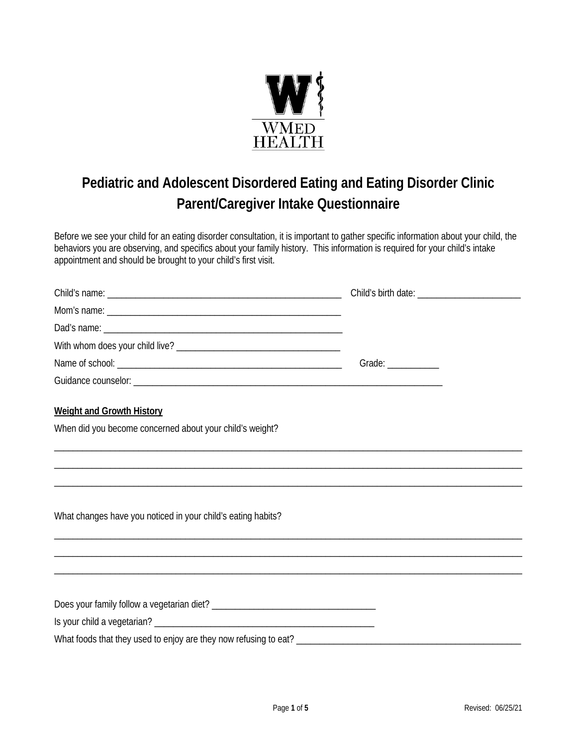

## **Pediatric and Adolescent Disordered Eating and Eating Disorder Clinic Parent/Caregiver Intake Questionnaire**

Before we see your child for an eating disorder consultation, it is important to gather specific information about your child, the behaviors you are observing, and specifics about your family history. This information is required for your child's intake appointment and should be brought to your child's first visit.

|                                                                                                                                                  | Grade: $\frac{1}{\sqrt{1-\frac{1}{2}}\cdot\frac{1}{2}}$ |  |
|--------------------------------------------------------------------------------------------------------------------------------------------------|---------------------------------------------------------|--|
|                                                                                                                                                  |                                                         |  |
| <b>Weight and Growth History</b>                                                                                                                 |                                                         |  |
| When did you become concerned about your child's weight?                                                                                         |                                                         |  |
|                                                                                                                                                  |                                                         |  |
|                                                                                                                                                  |                                                         |  |
| What changes have you noticed in your child's eating habits?<br>,我们也不会有什么?""我们的人,我们也不会有什么?""我们的人,我们也不会有什么?""我们的人,我们也不会有什么?""我们的人,我们也不会有什么?""我们的人 |                                                         |  |
|                                                                                                                                                  |                                                         |  |
|                                                                                                                                                  |                                                         |  |
|                                                                                                                                                  |                                                         |  |
|                                                                                                                                                  |                                                         |  |
|                                                                                                                                                  |                                                         |  |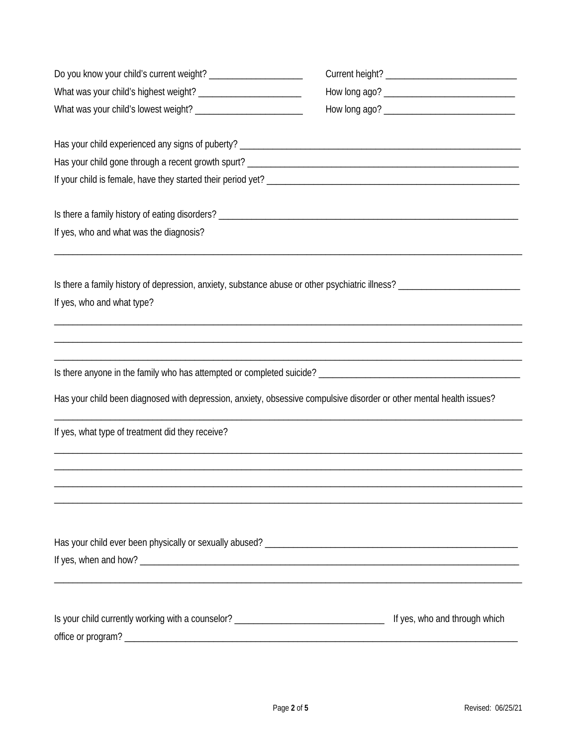| Is there a family history of eating disorders? _________________________________                                                             |                               |
|----------------------------------------------------------------------------------------------------------------------------------------------|-------------------------------|
| If yes, who and what was the diagnosis?                                                                                                      |                               |
|                                                                                                                                              |                               |
| Is there a family history of depression, anxiety, substance abuse or other psychiatric illness? ______________<br>If yes, who and what type? |                               |
|                                                                                                                                              |                               |
|                                                                                                                                              |                               |
| Has your child been diagnosed with depression, anxiety, obsessive compulsive disorder or other mental health issues?                         |                               |
| If yes, what type of treatment did they receive?                                                                                             |                               |
|                                                                                                                                              |                               |
|                                                                                                                                              |                               |
|                                                                                                                                              |                               |
|                                                                                                                                              |                               |
|                                                                                                                                              |                               |
| Is your child currently working with a counselor? ______________________________                                                             | If yes, who and through which |
|                                                                                                                                              |                               |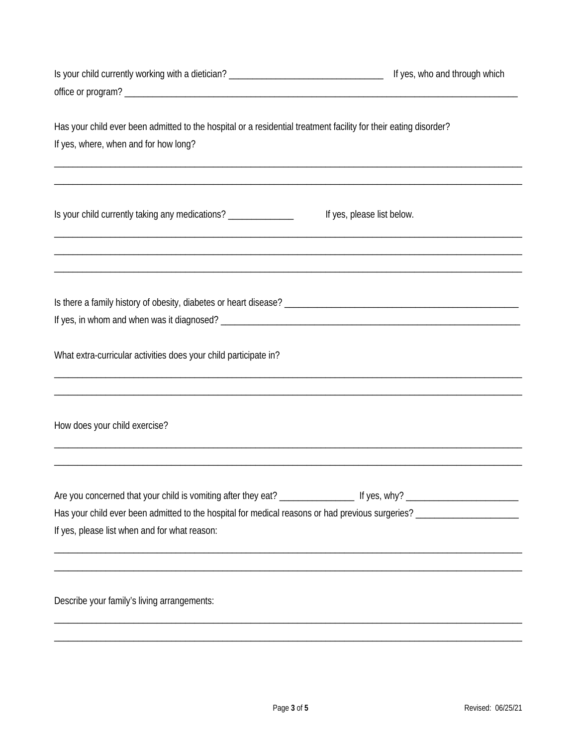| Is your child currently working with a dietician? _______________________________                                | If yes, who and through which |
|------------------------------------------------------------------------------------------------------------------|-------------------------------|
|                                                                                                                  |                               |
|                                                                                                                  |                               |
| Has your child ever been admitted to the hospital or a residential treatment facility for their eating disorder? |                               |
| If yes, where, when and for how long?                                                                            |                               |
|                                                                                                                  |                               |
| Is your child currently taking any medications? ______________                                                   | If yes, please list below.    |
|                                                                                                                  |                               |
|                                                                                                                  |                               |
|                                                                                                                  |                               |
|                                                                                                                  |                               |
| What extra-curricular activities does your child participate in?                                                 |                               |
|                                                                                                                  |                               |
| How does your child exercise?                                                                                    |                               |
|                                                                                                                  |                               |
|                                                                                                                  |                               |
|                                                                                                                  |                               |
| If yes, please list when and for what reason:                                                                    |                               |
|                                                                                                                  |                               |
|                                                                                                                  |                               |
|                                                                                                                  |                               |

Describe your family's living arrangements: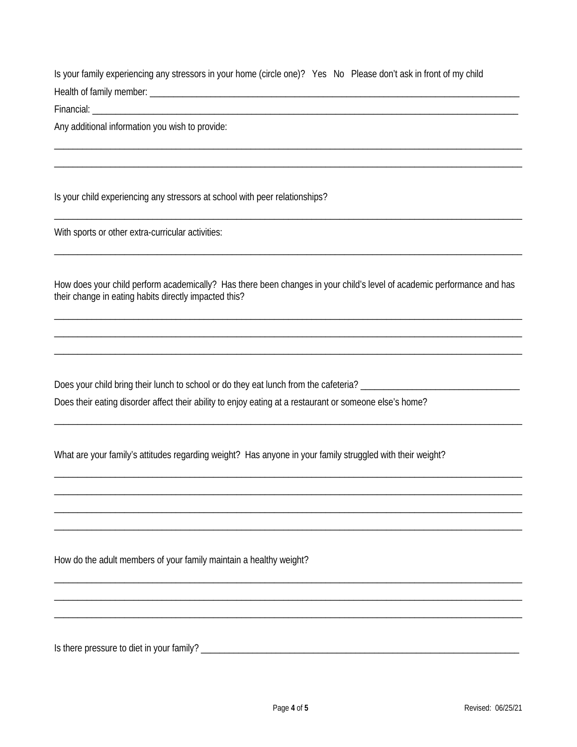Is your family experiencing any stressors in your home (circle one)? Yes No Please don't ask in front of my child Health of family member: Note that the state of the state of the state of the state of the state of the state of the state of the state of the state of the state of the state of the state of the state of the state of the s

Financial: Entrancement

Any additional information you wish to provide:

Is your child experiencing any stressors at school with peer relationships?

With sports or other extra-curricular activities:

How does your child perform academically? Has there been changes in your child's level of academic performance and has their change in eating habits directly impacted this?

Does your child bring their lunch to school or do they eat lunch from the cafeteria? \_\_\_\_\_\_\_\_\_\_\_\_ Does their eating disorder affect their ability to enjoy eating at a restaurant or someone else's home?

What are your family's attitudes regarding weight? Has anyone in your family struggled with their weight?

How do the adult members of your family maintain a healthy weight?